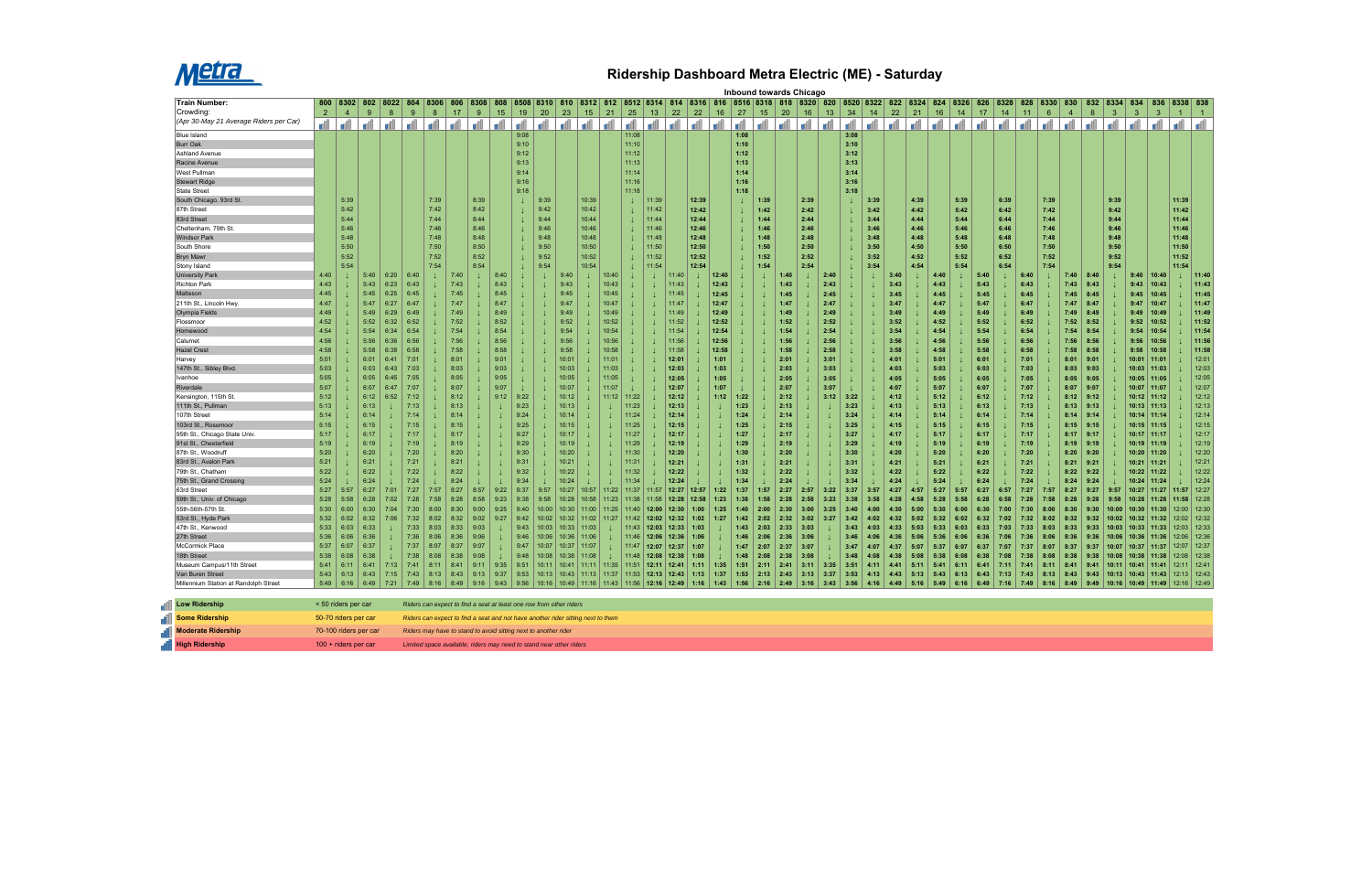

## **Ridership Dashboard Metra Electric (ME) - Saturday**

|                                              |                | Inbound towards Chicago<br>8508 8310 810 8312 812 8512 8314 814 8316 816 8516 8318 818 8320 820 8520 8322 8324 824 8326<br>802 8022 804<br>826 8328<br>8334 834<br>836 8338 838 |                       |              |                 |      |                                                                                  |      |              |              |       |                                                       |        |              |                |       |                |       |          |              |      |                |          |              |              |      |              |      |                 |      |                 |      |              |                 |                |                  |                |                       |                |               |                |
|----------------------------------------------|----------------|---------------------------------------------------------------------------------------------------------------------------------------------------------------------------------|-----------------------|--------------|-----------------|------|----------------------------------------------------------------------------------|------|--------------|--------------|-------|-------------------------------------------------------|--------|--------------|----------------|-------|----------------|-------|----------|--------------|------|----------------|----------|--------------|--------------|------|--------------|------|-----------------|------|-----------------|------|--------------|-----------------|----------------|------------------|----------------|-----------------------|----------------|---------------|----------------|
| <b>Train Number:</b>                         |                | 800 8302                                                                                                                                                                        |                       |              |                 | 8306 | 806                                                                              | 8308 | 808          |              |       |                                                       |        |              |                |       |                |       |          |              |      |                |          |              |              |      |              |      |                 |      |                 |      | 828          | 8330            | 830            | 832              |                |                       |                |               |                |
| Crowding:                                    | $\overline{2}$ | $\overline{4}$                                                                                                                                                                  | 9                     | 8            | 9               | 8    | 17                                                                               | 9    | 15           | 19           | 20    | 23                                                    | 15     | 21           | 25             | 13    | 22             | 22    | 16       | 27           | 15   | 20             | 16       | 13           | 34           | 14   | 22           | 21   | 16              | 14   | 17 <sup>2</sup> | 14   | 11           | $6\overline{6}$ | $\overline{4}$ | $\boldsymbol{8}$ | 3 <sup>1</sup> | $\mathbf{3}$          | $\mathbf{3}$   | $\vert$ 1     | $\vert$ 1      |
| (Apr 30-May 21 Average Riders per Car)       | d              | d                                                                                                                                                                               | d                     | d            | <b>In the U</b> | d    | اله ا الله                                                                       |      | <b>d</b>     | d            | al    | - A                                                   | a di l | <b>I</b> all | d              | d     | ا اس ا         | l all | <b>I</b> | d            | d    | $\blacksquare$ | <b>d</b> | أآت          | - A          | d    | -dl          |      | ا الله ا الله ا | d    | a Al            | all  | الت          | ا آها :         | d              |                  |                |                       |                | الله          | d              |
| <b>Blue Island</b>                           |                |                                                                                                                                                                                 |                       |              |                 |      |                                                                                  |      |              | 9:08         |       |                                                       |        |              | 11:08          |       |                |       |          | 1:08         |      |                |          |              | 3:08         |      |              |      |                 |      |                 |      |              |                 |                |                  |                |                       |                |               |                |
| <b>Burr Oak</b>                              |                |                                                                                                                                                                                 |                       |              |                 |      |                                                                                  |      |              | 9:10         |       |                                                       |        |              | 11:10          |       |                |       |          | 1:10         |      |                |          |              | 3:10         |      |              |      |                 |      |                 |      |              |                 |                |                  |                |                       |                |               |                |
| <b>Ashland Avenue</b>                        |                |                                                                                                                                                                                 |                       |              |                 |      |                                                                                  |      |              | 9:12         |       |                                                       |        |              | 11:12          |       |                |       |          | 1:12         |      |                |          |              | 3:12         |      |              |      |                 |      |                 |      |              |                 |                |                  |                |                       |                |               |                |
| Racine Avenue                                |                |                                                                                                                                                                                 |                       |              |                 |      |                                                                                  |      |              | 9:13         |       |                                                       |        |              | 11:13          |       |                |       |          | 1:13         |      |                |          |              | 3:13         |      |              |      |                 |      |                 |      |              |                 |                |                  |                |                       |                |               |                |
| West Pullman                                 |                |                                                                                                                                                                                 |                       |              |                 |      |                                                                                  |      |              | 9:14         |       |                                                       |        |              | 11:14          |       |                |       |          | 1:14         |      |                |          |              | 3:14         |      |              |      |                 |      |                 |      |              |                 |                |                  |                |                       |                |               |                |
| <b>Stewart Ridge</b>                         |                |                                                                                                                                                                                 |                       |              |                 |      |                                                                                  |      |              | 9:16         |       |                                                       |        |              | 11:16          |       |                |       |          | 1:16         |      |                |          |              | 3:16         |      |              |      |                 |      |                 |      |              |                 |                |                  |                |                       |                |               |                |
| <b>State Street</b>                          |                |                                                                                                                                                                                 |                       |              |                 |      |                                                                                  |      |              | 9:18         |       |                                                       |        |              | 11:18          |       |                |       |          | 1:18         |      |                |          |              | 3:18         |      |              |      |                 |      |                 |      |              |                 |                |                  |                |                       |                |               |                |
| South Chicago, 93rd St                       |                | 5:39                                                                                                                                                                            |                       |              |                 | 7:39 |                                                                                  | 8:39 |              |              | 9:39  |                                                       | 10:39  |              | $\perp$        | 11:39 |                | 12:39 |          |              | 1:39 |                | 2:39     |              |              | 3:39 |              | 4:39 |                 | 5:39 |                 | 6:39 |              | 7:39            |                |                  | 9:39           |                       |                | 11:39         |                |
| 87th Street                                  |                | 5:42                                                                                                                                                                            |                       |              |                 | 7:42 |                                                                                  | 8:42 |              |              | 9:42  |                                                       | 10:42  |              | $\perp$        | 11:42 |                | 12:42 |          |              | 1:42 |                | 2:42     |              |              | 3:42 |              | 4:42 |                 | 5:42 |                 | 6:42 |              | 7:42            |                |                  | 9:42           |                       |                | 11:42         |                |
| 83rd Street                                  |                | 5:44                                                                                                                                                                            |                       |              |                 | 7:44 |                                                                                  | 8:44 |              |              | 9:44  |                                                       | 10:44  |              | $\perp$        | 11:44 |                | 12:44 |          |              | 1:44 |                | 2:44     |              |              | 3:44 |              | 4:44 |                 | 5:44 |                 | 6:44 |              | 7:44            |                |                  | 9:44           |                       |                | 11:44         |                |
| Cheltenham, 79th St.                         |                | 5:46                                                                                                                                                                            |                       |              |                 | 7:46 |                                                                                  | 8:46 |              |              | 9:46  |                                                       | 10:46  |              | $\perp$        | 11:46 |                | 12:46 |          |              | 1:46 |                | 2:46     |              |              | 3:46 |              | 4:46 |                 | 5:46 |                 | 6:46 |              | 7:46            |                |                  | 9:46           |                       |                | 11:46         |                |
| <b>Windsor Park</b>                          |                | 5:48                                                                                                                                                                            |                       |              |                 | 7:48 |                                                                                  | 8:48 |              |              | 9:48  |                                                       | 10:48  |              | $\perp$        | 11:48 |                | 12:48 |          |              | 1:48 |                | 2:48     |              |              | 3:48 |              | 4:48 |                 | 5:48 |                 | 6:48 |              | 7:48            |                |                  | 9:48           |                       |                | 11:48         |                |
| South Shore                                  |                | 5:50                                                                                                                                                                            |                       |              |                 | 7:50 |                                                                                  | 8:50 |              |              | 9:50  |                                                       | 10:50  |              |                | 11:50 |                | 12:50 |          |              | 1:50 |                | 2:50     |              |              | 3:50 |              | 4:50 |                 | 5:50 |                 | 6:50 |              | 7:50            |                |                  | 9:50           |                       |                | 11:50         |                |
| <b>Bryn Mawr</b>                             |                | 5:52                                                                                                                                                                            |                       |              |                 | 7:52 |                                                                                  | 8:52 |              |              | 9:52  |                                                       | 10:52  |              |                | 11:52 |                | 12:52 |          |              | 1:52 |                | 2:52     |              |              | 3:52 |              | 4:52 |                 | 5:52 |                 | 6:52 |              | 7:52            |                |                  | 9:52           |                       |                | 11:52         |                |
| Stony Island                                 |                | 5:54                                                                                                                                                                            |                       |              |                 | 7:54 |                                                                                  | 8:54 |              |              | 9:54  |                                                       | 10:54  |              |                | 11:54 |                | 12:54 |          |              | 1:54 |                | 2:54     |              |              | 3:54 |              | 4:54 |                 | 5:54 |                 | 6:54 |              | 7:54            |                |                  | 9:54           |                       |                | 11:54         |                |
| University Parl                              | 4:40           |                                                                                                                                                                                 | 5:40                  | 6:20         | 6:40            |      | 7:40                                                                             |      | 8:40         |              |       | 9:40                                                  |        | 10:40        |                |       | 11:40          |       | 12:40    |              |      |                |          | 2:40         |              |      |              |      | 4:40            |      | 5:40            |      | 6:40         |                 | 7:40           | 8:40             |                | 9:40                  | 10:40          |               | 11:40          |
| <b>Richton Park</b>                          | 4:43           |                                                                                                                                                                                 | 5:43                  | 6:23         | 6:43            |      | 7:43                                                                             |      | 8:43         |              |       | 9:43                                                  |        | 10:43        |                |       | 11:43          |       | 12:43    |              |      | 1:43           |          | 2:43         |              |      | 3:43         |      | 4:43            |      | 5:43            |      | 6:43         |                 | 7:43           | 8:43             |                | 9:43                  | 10:43          |               | 11:43          |
| Matteson                                     | 4:45           |                                                                                                                                                                                 | 5:45                  | 6:25         | 6:45            |      | 7:45                                                                             |      | 8:45         |              |       | 9:45                                                  |        | 10:45        |                |       | 11:45          |       | 12:45    |              |      | 1:45           |          | 2:45         |              |      | 3:45         |      | 4:45            |      | 5:45            |      | 6:45         |                 | 7:45           | 8:45             |                | 9:45                  | 10:45          |               | 11:45          |
| 211th St., Lincoln Hwy.                      | 4:47           |                                                                                                                                                                                 | 5:47                  | 6:27         | 6:47            |      | 7:47                                                                             |      | 8:47         |              |       | 9:47                                                  |        | 10:47        |                |       | 11:47          |       | 12:47    |              |      | 1:47           |          | 2:47         |              |      | 3:47         |      | 4:47            |      | 5:47            |      | 6:47         |                 | 7:47           | 8:47             |                | 9:47                  | 10:47          |               | 11:47          |
| Olympia Fields                               | 4:49           |                                                                                                                                                                                 | 5:49                  | 6:29         | 6:49            |      | 7:49                                                                             |      | 8:49         |              |       | 9:49                                                  |        | 10:49        |                |       | 11:49          |       | 12:49    |              |      | 1:49           |          | 2:49         |              |      | 3:49         |      | 4:49            |      | 5:49            |      | 6:49         |                 | 7:49           | 8:49             |                | 9:49                  | 10:49          |               | 11:49          |
| Flossmoor                                    | 4:52           |                                                                                                                                                                                 | 5:52                  | 6:32         | 6:52            |      | 7:52                                                                             |      | 8:52         |              |       | 9:52                                                  |        | 10:52        |                |       | 11:52          |       | 12:52    |              |      | 1:52           |          | 2:52         |              |      | 3:52         |      | 4:52            |      | 5:52            |      | 6:52         |                 | 7:52           | 8:52             |                | 9:52                  | 10:52          |               | 11:52          |
| Homewood                                     | 4:54           |                                                                                                                                                                                 | 5:54                  | 6:34         | 6:54            |      | 7:54                                                                             |      | 8:54         |              |       | 9:54                                                  |        | 10:54        |                |       | 11:54          |       | 12:54    |              |      | 1:54           |          | 2:54         |              |      | 3:54         |      | 4:54            |      | 5:54            |      | 6:54         |                 | 7:54           | 8:54             |                | 9:54                  | 10:54          |               | 11:54          |
| Calumet                                      | 4:56           |                                                                                                                                                                                 | 5:56                  | 6:36         | 6:56            |      | 7:56                                                                             |      | 8:56         |              |       | 9:56                                                  |        | 10:56        |                |       | 11:56          |       | 12:56    |              |      | 1:56           |          | 2:56         |              |      | 3:56         |      | 4:56            |      | 5:56            |      | 6:56         |                 | 7:56           | 8:56             |                | 9:56                  | 10:56          |               | 11:56          |
| Hazel Crest                                  | 4:58           |                                                                                                                                                                                 | 5:58                  | 6:38         | 6:58            |      | 7:58                                                                             |      | 8:58         |              |       | 9:58                                                  |        | 10:58        |                |       | 11:58          |       | 12:58    |              |      | 1:58           |          | 2:58         |              |      | 3:58         |      | 4:58            |      | 5:58            |      | 6:58         |                 | 7:58           | 8:58             |                | 9:58                  | 10:58          |               | 11:58          |
| <b>Harvey</b>                                | 5:01           |                                                                                                                                                                                 | 6:01                  | 6:41         | 7:01            |      | 8:01                                                                             |      | 9:01         |              |       | 10:01                                                 |        | 11:01        |                |       | 12:01          |       | 1:01     |              |      | 2:01           |          | 3:01         |              |      | 4:01         |      | 5:01            |      | 6:01            |      | 7:01         |                 | 8:01           | 9:01             |                | 10:01                 | 11:01          |               | 12:01          |
| 147th St., Sibley Blvd.                      | 5:03           |                                                                                                                                                                                 | 6:03                  | 6:43         | 7:03            |      | 8:03                                                                             |      | 9:03         |              |       | 10:03                                                 |        | 11:03        |                |       | 12:03          |       | 1:03     |              |      | 2:03           |          | 3:03         |              |      | 4:03         |      | 5:03            |      | 6:03            |      | 7:03         |                 | 8:03           | 9:03             |                | 10:03 11:03           |                |               | 12:03          |
| Ivanhoe                                      | 5:05           |                                                                                                                                                                                 | 6:05                  | 6:45         | 7:05            |      | 8:05                                                                             |      | 9:05         |              |       | 10:05                                                 |        | 11:05        |                |       | 12:05          |       | 1:05     |              |      | 2:05           |          | 3:05         |              |      | 4:05         |      | 5:05            |      | 6:05            |      | 7:05         |                 | 8:05           | 9:05             |                | 10:05 11:05           |                |               | 12:05          |
| Riverdale                                    | 5:07           |                                                                                                                                                                                 | 6:07                  | 6:47         | 7:07            |      | 8:07                                                                             |      | 9:07         |              |       | 10:07                                                 |        | 11:07        |                |       | 12:07          |       | 1:07     |              |      | 2:07           |          | 3:07         |              |      | 4:07         |      | 5:07            |      | 6:07            |      | 7:07         |                 | 8:07           | 9:07             |                | 10:07                 | 11:07          |               | 12:07          |
| Kensington, 115th St.                        | 5:12           |                                                                                                                                                                                 | 6:12                  | 6:52         | 7:12            |      | 8:12                                                                             |      | 9:12         | 9:22         |       | 10:12                                                 |        | 11:12        | 11:22          |       | 12:12          |       | 1:12     | 1:22         |      | 2:12           |          | 3:12         | 3:22         |      | 4:12         |      | 5:12            |      | 6:12            |      | 7:12         |                 | 8:12           | 9:12             |                | 10:12 11:12           |                |               | 12:12          |
| 111th St., Pullman                           | 5:13           |                                                                                                                                                                                 | 6:13                  |              | 7:13            |      | 8:13                                                                             |      |              | 9:23         |       | 10:13                                                 |        |              | 11:23          |       | 12:13          |       |          | 1:23         |      | 2:13           |          |              | 3:23         |      | 4:13         |      | 5:13            |      | 6:13            |      | 7:13         |                 | 8:13           | 9:13             |                | 10:13 11:13           |                |               | 12:13          |
| 107th Street                                 | 5:14           |                                                                                                                                                                                 | 6:14                  |              | 7:14            |      | 8:14                                                                             |      |              | 9:24         |       | 10:14                                                 |        |              | 11:24          |       | 12:14          |       |          | 1:24         |      | 2:14           |          |              | 3:24         |      | 4:14         |      | 5:14            |      | 6:14            |      | 7:14         |                 | 8:14           | 9:14             |                | 10:14   11:14         |                |               | 12:14          |
| 103rd St., Rosemoor                          | 5:15           |                                                                                                                                                                                 | 6:15                  |              | 7:15            |      | 8:15                                                                             |      |              | 9:25         |       | 10:15                                                 |        |              | 11:25          |       | 12:15          |       |          | 1:25         |      | 2:15           |          |              | 3:25         |      | 4:15         |      | 5:15            |      | 6:15            |      | 7:15         |                 | 8:15           | 9:15             |                | 10:15   11:15         |                |               | 12:15          |
| 95th St., Chicago State Univ.                | 5:17           |                                                                                                                                                                                 | 6:17                  |              | 7:17            |      | 8:17                                                                             |      | $\downarrow$ | 9:27         |       | 10:17                                                 |        |              | 11:27          |       | 12:17          |       |          | 1:27         |      | 2:17           |          |              | 3:27         |      | 4:17         |      | 5:17            |      | 6:17            |      | 7:17         |                 | 8:17           | 9:17             |                | 10:17   11:17         |                |               | 12:17          |
| 91st St., Chesterfield<br>87th St., Woodruff | 5:19           |                                                                                                                                                                                 | 6:19                  |              | 7:19            |      | 8:19                                                                             |      |              | 9:29         |       | 10:19                                                 |        |              | 11:29          |       | 12:19          |       |          | 1:29<br>1:30 |      | 2:19           |          |              | 3:29<br>3:30 |      | 4:19         |      | 5:19<br>5:20    |      | 6:19            |      | 7:19         |                 | 8:19           | 9:19<br>9:20     |                | 10:19                 | 11:19          |               | 12:19          |
| 83rd St., Avalon Park                        | 5:20<br>5:21   |                                                                                                                                                                                 | 6:20<br>6:21          |              | 7:20<br>7:21    |      | 8:20<br>8:21                                                                     |      |              | 9:30<br>9:31 |       | 10:20<br>10:21                                        |        |              | 11:30<br>11:31 |       | 12:20<br>12:21 |       |          | 1:31         |      | 2:20<br>2:21   |          |              | 3:31         |      | 4:20<br>4:21 |      | 5:21            |      | 6:20<br>6:21    |      | 7:20<br>7:21 |                 | 8:20<br>8:21   | 9:21             |                | 10:20<br>10:21        | 11:20<br>11:21 |               | 12:20<br>12:21 |
|                                              | 5:22           |                                                                                                                                                                                 |                       |              |                 |      |                                                                                  |      |              |              |       |                                                       |        |              |                |       |                |       |          |              |      |                |          |              | 3:32         |      |              |      |                 |      |                 |      |              |                 |                |                  |                |                       |                |               | 12:22          |
| 79th St., Chatham                            |                |                                                                                                                                                                                 | 6:22                  |              | 7:22            |      | 8:22                                                                             |      |              | 9:32         |       | 10:22                                                 |        |              | 11:32          |       | 12:22          |       |          | 1:32         |      | 2:22           |          | $\perp$      |              |      | 4:22<br>4:24 |      | 5:22            |      | 6:22            |      | 7:22         |                 | 8:22           | 9:22             |                | 10:22 11:22           |                |               | 12:24          |
| 75th St., Grand Crossing<br>63rd Street      | 5:24<br>5:27   | 5:57                                                                                                                                                                            | 6:24<br>6:27          | 7:01         | 7:24<br>7:27    | 7:57 | 8:24<br>8:27                                                                     | 8:57 | u<br>9:22    | 9:34<br>9:37 | 9:57  | 10:24<br>10:27                                        | 10:57  | 11:22        | 11:34<br>11:37 | 11:57 | 12:24<br>12:27 | 12:57 | 1:22     | 1:34<br>1:37 | 1:57 | 2:24<br>2:27   | 2:57     | 3:22         | 3:34<br>3:37 | 3:57 | 4:27         | 4:57 | 5:24<br>5:27    | 5:57 | 6:24<br>6:27    | 6:57 | 7:24<br>7:27 | 7:57            | 8:24<br>8:27   | 9:24<br>9:27     | 9:57           | 10:24<br>10:27        | 11:24<br>11:27 | 11:57         | 12:27          |
| 59th St., Univ. of Chicago                   | 5:28           | 5:58                                                                                                                                                                            | 6:28                  | 7:02         | 7:28            | 7:58 | 8:28                                                                             | 8:58 | 9:23         | 9:38         | 9:58  | 10:28                                                 | 10:58  | 11:23        | 11:38          | 11:58 | 12:28          | 12:58 | 1:23     | 1:38         | 1:58 | 2:28           | 2:58     | 3:23         | 3:38         | 3:58 | 4:28         | 4:58 | 5:28            | 5:58 | 6:28            | 6:58 | 7:28         | 7:58            | 8:28           | 9:28             | 9:58           | 10:28                 | 11:28          | 11:58         | 12:28          |
| 55th-56th-57th St.                           | 5:30           | 6:00                                                                                                                                                                            | 6:30                  | 7:04         | 7:30            | 8:00 | 8:30                                                                             | 9:00 | 9:25         | 9:40         | 10:00 | 10:30                                                 | 11:00  | 11:25        | 11:40          | 12:00 | 12:30          | 1:00  | 1:25     | 1:40         | 2:00 | 2:30           | 3:00     | 3:25         | 3:40         | 4:00 | 4:30         | 5:00 | 5:30            | 6:00 |                 | 7:00 | 7:30         | 8:00            | 8:30           | 9:30             | 10:00          | 10:30                 | 11:30          | 12:00         | 12:30          |
| 53rd St., Hyde Park                          | 5:32           | 6:02                                                                                                                                                                            | 6:32                  | 7:06         | 7:32            | 8:02 | 8:32                                                                             | 9:02 | 9:27         | 9:42         | 10:02 | 10:32                                                 | 11:02  | 11:27        | 11:42          | 12:02 | 12:32          | 1:02  | 1:27     | 1:42         | 2:02 | 2:32           | 3:02     | 3:27         | 3:42         | 4:02 | 4:32         | 5:02 | 5:32            | 6:02 | 6:32            | 7:02 | 7:32         | 8:02            | 8:32           | 9:32             | 10:02          | 10:32                 | 11:32          | 12:02         | 12:32          |
| 47th St., Kenwood                            | 5:33           | 6:03                                                                                                                                                                            | 6:33                  | L            | 7:33            | 8:03 | 8:33                                                                             | 9:03 |              | 9:43         | 10:03 | 10:33                                                 | 11:03  |              | 11:43          | 12:03 | 12:33          | 1:03  |          | 1:43         | 2:03 | 2:33           | 3:03     |              | 3:43         | 4:03 | 4:33         | 5:03 | 5:33            | 6:03 | 6:33            | 7:03 | 7:33         | 8:03            | 8:33           | 9:33             | 10:03          | 10:33                 | 11:33          | 12:03         | 12:33          |
| 27th Street                                  | 5:36           | 6:06                                                                                                                                                                            | 6:36                  |              | 7:36            | 8:06 | 8:36                                                                             | 9:06 |              | 9:46         | 10:06 | 10:36                                                 | 11:06  |              | 11:46          | 12:06 | 12:36          | 1:06  |          | 1:46         | 2:06 | 2:36           | 3:06     |              | 3:46         | 4:06 | 4:36         | 5:06 | 5:36            | 6:06 | 6:36            | 7:06 | 7:36         | 8:06            | 8:36           | 9:36             | 10:06          | 10:36                 | 11:36          | 12:06         | 12:36          |
| <b>McCormick Place</b>                       | 5:37           | 6:07                                                                                                                                                                            | 6:37                  | $\downarrow$ | 7:37            | 8:07 | 8:37                                                                             | 9:07 |              | 9:47         | 10:07 | 10:37                                                 | 11:07  |              | 11:47          | 12:07 | 12:37          | 1:07  |          | 1:47         | 2:07 | 2:37           | 3:07     | $\mathbf{L}$ | 3:47         | 4:07 | 4:37         | 5:07 | 5:37            | 6:07 | 6:37            | 7:07 | 7:37         | 8:07            | 8:37           | 9:37             | 10:07          | 10:37                 | 11:37          | 12:07         | 12:37          |
| 18th Street                                  | 5:38           | 6:08                                                                                                                                                                            | 6:38                  |              | 7:38            | 8:08 | 8:38                                                                             | 9:08 |              | 9:48         | 10:08 | 10:38                                                 | 11:08  |              | 11:48          | 12:08 | 12:38          | 1:08  |          | 1:48         | 2:08 | 2:38           | 3:08     |              | 3:48         | 4:08 | 4:38         | 5:08 | 5:38            | 6:08 | 6:38            | 7:08 | 7:38         | 8:08            | 8:38           | 9:38             | 10:08          | 10:38                 | 11:38          | 12:08         | 12:38          |
| Museum Campus/11th Street                    | 5:41           | 6:11                                                                                                                                                                            | 6:41                  | 7:13         | 7:41            | 8:1' | 8:41                                                                             | 9:11 | 9:35         | 9:51         | 10:11 | 10:41                                                 | 11:11  | 11:35        | 11:51          | 12:11 | 12:41          | 1:11  | 1:35     | 1:51         | 2:11 | 2:41           | 3:11     | 3:35         | 3:51         | 4:11 | 4:41         | 5:11 | 5:41            | 6:11 | 6:41            | 7:11 | 7:41         | 8:11            | 8:41           | 9:41             | 10:11          | 10:41                 | 11:41          | 12:11 12:41   |                |
| Van Buren Street                             | 5:43           | 6:13                                                                                                                                                                            | 6:43                  | 7:15         | 7:43            | 8:13 | 8:43                                                                             | 9:13 | 9:37         | 9:53         | 10:13 | 10:43                                                 | 11:13  | 11:37        | 11:53          | 12:13 | 12:43          | 1:13  | 1:37     | 1:53         | 2:13 | 2:43           | 3:13     | 3:37         | 3:53         | 4:13 | 4:43         | 5:13 | 5:43            | 6:13 | 6:43            | 7:13 | 7:43         | 8:13            | 8:43           | 9:43             |                | $10:13$ 10:43 11:43   |                | 12:13   12:43 |                |
| Millennium Station at Randolph Street        | 5:49           | 6:16                                                                                                                                                                            | 6:49                  | 7:21         | 7:49            | 8:16 | 8:49                                                                             | 9:16 | 9:43         | 9:56         |       | 10:16   10:49   11:16   11:43   11:56   12:16   12:49 |        |              |                |       |                | 1:16  | 1:43     | 1:56         | 2:16 | 2:49           | 3:16     | 3:43         | 3:56         | 4:16 | 4:49         | 5:16 | 5:49            | 6:16 | 6:49            | 7:16 | 7:49         | 8:16            | 8:49           | 9:49             |                | 10:16   10:49   11:49 |                | $12:16$ 12:49 |                |
|                                              |                |                                                                                                                                                                                 |                       |              |                 |      |                                                                                  |      |              |              |       |                                                       |        |              |                |       |                |       |          |              |      |                |          |              |              |      |              |      |                 |      |                 |      |              |                 |                |                  |                |                       |                |               |                |
|                                              |                |                                                                                                                                                                                 |                       |              |                 |      |                                                                                  |      |              |              |       |                                                       |        |              |                |       |                |       |          |              |      |                |          |              |              |      |              |      |                 |      |                 |      |              |                 |                |                  |                |                       |                |               |                |
| <b>Low Ridership</b>                         |                | < 50 riders per car                                                                                                                                                             |                       |              |                 |      | Riders can expect to find a seat at least one row from other riders              |      |              |              |       |                                                       |        |              |                |       |                |       |          |              |      |                |          |              |              |      |              |      |                 |      |                 |      |              |                 |                |                  |                |                       |                |               |                |
| <b>Some Ridership</b>                        |                | 50-70 riders per car                                                                                                                                                            |                       |              |                 |      | Riders can expect to find a seat and not have another rider sitting next to them |      |              |              |       |                                                       |        |              |                |       |                |       |          |              |      |                |          |              |              |      |              |      |                 |      |                 |      |              |                 |                |                  |                |                       |                |               |                |
| Moderate Ridership                           |                |                                                                                                                                                                                 | 70-100 riders per car |              |                 |      | Riders may have to stand to avoid sitting next to another rider                  |      |              |              |       |                                                       |        |              |                |       |                |       |          |              |      |                |          |              |              |      |              |      |                 |      |                 |      |              |                 |                |                  |                |                       |                |               |                |
|                                              |                |                                                                                                                                                                                 |                       |              |                 |      |                                                                                  |      |              |              |       |                                                       |        |              |                |       |                |       |          |              |      |                |          |              |              |      |              |      |                 |      |                 |      |              |                 |                |                  |                |                       |                |               |                |
| <b>High Ridership</b>                        |                | 100 + riders per car                                                                                                                                                            |                       |              |                 |      | Limited space available, riders may need to stand near other riders              |      |              |              |       |                                                       |        |              |                |       |                |       |          |              |      |                |          |              |              |      |              |      |                 |      |                 |      |              |                 |                |                  |                |                       |                |               |                |
|                                              |                |                                                                                                                                                                                 |                       |              |                 |      |                                                                                  |      |              |              |       |                                                       |        |              |                |       |                |       |          |              |      |                |          |              |              |      |              |      |                 |      |                 |      |              |                 |                |                  |                |                       |                |               |                |